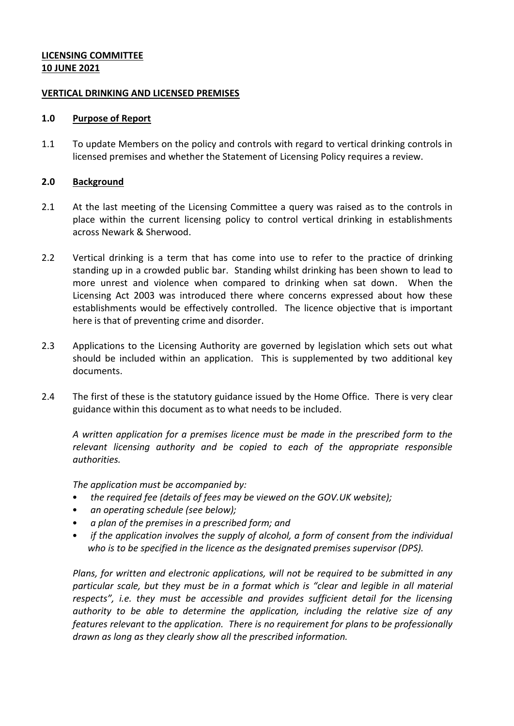# **LICENSING COMMITTEE 10 JUNE 2021**

## **VERTICAL DRINKING AND LICENSED PREMISES**

#### **1.0 Purpose of Report**

1.1 To update Members on the policy and controls with regard to vertical drinking controls in licensed premises and whether the Statement of Licensing Policy requires a review.

## **2.0 Background**

- 2.1 At the last meeting of the Licensing Committee a query was raised as to the controls in place within the current licensing policy to control vertical drinking in establishments across Newark & Sherwood.
- 2.2 Vertical drinking is a term that has come into use to refer to the practice of drinking standing up in a crowded public bar. Standing whilst drinking has been shown to lead to more unrest and violence when compared to drinking when sat down. When the Licensing Act 2003 was introduced there where concerns expressed about how these establishments would be effectively controlled. The licence objective that is important here is that of preventing crime and disorder.
- 2.3 Applications to the Licensing Authority are governed by legislation which sets out what should be included within an application. This is supplemented by two additional key documents.
- 2.4 The first of these is the statutory guidance issued by the Home Office. There is very clear guidance within this document as to what needs to be included.

*A written application for a premises licence must be made in the prescribed form to the relevant licensing authority and be copied to each of the appropriate responsible authorities.*

*The application must be accompanied by:*

- *the required fee (details of fees may be viewed on the GOV.UK website);*
- *an operating schedule (see below);*
- *a plan of the premises in a prescribed form; and*
- *if the application involves the supply of alcohol, a form of consent from the individual who is to be specified in the licence as the designated premises supervisor (DPS).*

*Plans, for written and electronic applications, will not be required to be submitted in any particular scale, but they must be in a format which is "clear and legible in all material respects", i.e. they must be accessible and provides sufficient detail for the licensing authority to be able to determine the application, including the relative size of any features relevant to the application. There is no requirement for plans to be professionally drawn as long as they clearly show all the prescribed information.*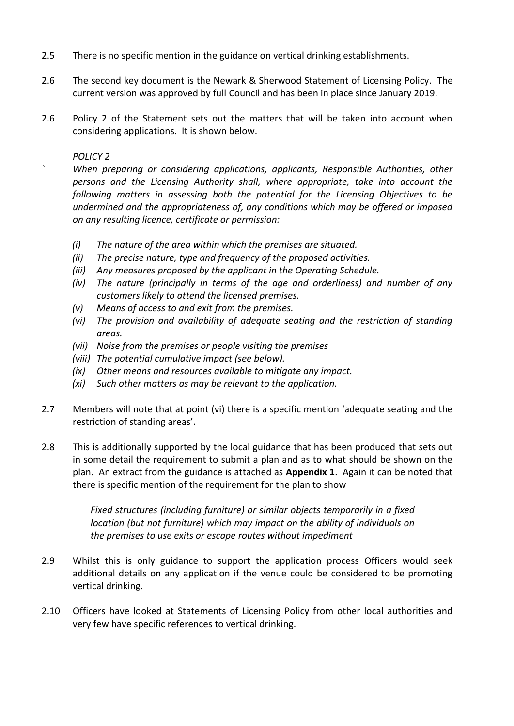- 2.5 There is no specific mention in the guidance on vertical drinking establishments.
- 2.6 The second key document is the Newark & Sherwood Statement of Licensing Policy. The current version was approved by full Council and has been in place since January 2019.
- 2.6 Policy 2 of the Statement sets out the matters that will be taken into account when considering applications. It is shown below.

*POLICY 2*

*` When preparing or considering applications, applicants, Responsible Authorities, other persons and the Licensing Authority shall, where appropriate, take into account the following matters in assessing both the potential for the Licensing Objectives to be undermined and the appropriateness of, any conditions which may be offered or imposed on any resulting licence, certificate or permission:*

- *(i) The nature of the area within which the premises are situated.*
- *(ii) The precise nature, type and frequency of the proposed activities.*
- *(iii) Any measures proposed by the applicant in the Operating Schedule.*
- *(iv) The nature (principally in terms of the age and orderliness) and number of any customers likely to attend the licensed premises.*
- *(v) Means of access to and exit from the premises.*
- *(vi) The provision and availability of adequate seating and the restriction of standing areas.*
- *(vii) Noise from the premises or people visiting the premises*
- *(viii) The potential cumulative impact (see below).*
- *(ix) Other means and resources available to mitigate any impact.*
- *(xi) Such other matters as may be relevant to the application.*
- 2.7 Members will note that at point (vi) there is a specific mention 'adequate seating and the restriction of standing areas'.
- 2.8 This is additionally supported by the local guidance that has been produced that sets out in some detail the requirement to submit a plan and as to what should be shown on the plan. An extract from the guidance is attached as **Appendix 1**. Again it can be noted that there is specific mention of the requirement for the plan to show

*Fixed structures (including furniture) or similar objects temporarily in a fixed location (but not furniture) which may impact on the ability of individuals on the premises to use exits or escape routes without impediment*

- 2.9 Whilst this is only guidance to support the application process Officers would seek additional details on any application if the venue could be considered to be promoting vertical drinking.
- 2.10 Officers have looked at Statements of Licensing Policy from other local authorities and very few have specific references to vertical drinking.